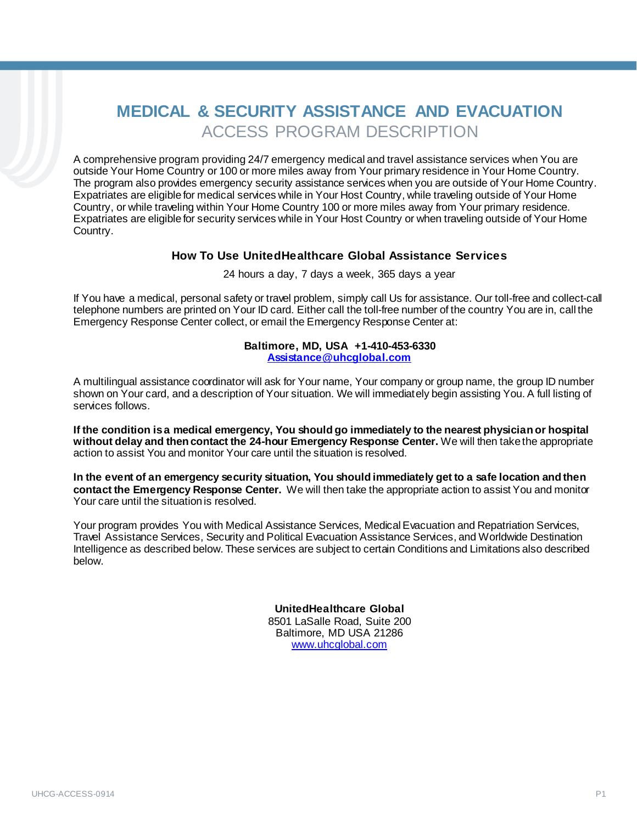# **MEDICAL & SECURITY ASSISTANCE AND EVACUATION**  ACCESS PROGRAM DESCRIPTION

A comprehensive program providing 24/7 emergency medical and travel assistance services when You are outside Your Home Country or 100 or more miles away from Your primary residence in Your Home Country. The program also provides emergency security assistance services when you are outside of Your Home Country. Expatriates are eligible for medical services while in Your Host Country, while traveling outside of Your Home Country, or while traveling within Your Home Country 100 or more miles away from Your primary residence. Expatriates are eligible for security services while in Your Host Country or when traveling outside of Your Home Country.

#### **How To Use UnitedHealthcare Global Assistance Services**

24 hours a day, 7 days a week, 365 days a year

If You have a medical, personal safety or travel problem, simply call Us for assistance. Our toll-free and collect-call telephone numbers are printed on Your ID card. Either call the toll-free number of the country You are in, call the Emergency Response Center collect, or email the Emergency Response Center at:

#### **Baltimore, MD, USA +1-410-453-6330 [Assistance@uhcglobal.com](mailto:Assistance@uhcglobal.com)**

A multilingual assistance coordinator will ask for Your name, Your company or group name, the group ID number shown on Your card, and a description of Your situation. We will immediately begin assisting You. A full listing of services follows.

**If the condition is a medical emergency, You should go immediately to the nearest physician or hospital without delay and then contact the 24-hour Emergency Response Center.** We will then take the appropriate action to assist You and monitor Your care until the situation is resolved.

**In the event of an emergency security situation, You should immediately get to a safe location and then contact the Emergency Response Center.** We will then take the appropriate action to assist You and monitor Your care until the situation is resolved.

Your program provides You with Medical Assistance Services, Medical Evacuation and Repatriation Services, Travel Assistance Services, Security and Political Evacuation Assistance Services, and Worldwide Destination Intelligence as described below. These services are subject to certain Conditions and Limitations also described below.

> **UnitedHealthcare Global**  8501 LaSalle Road, Suite 200 Baltimore, MD USA 21286 [www.uhcglobal.com](http://www.uhcglobal.com/)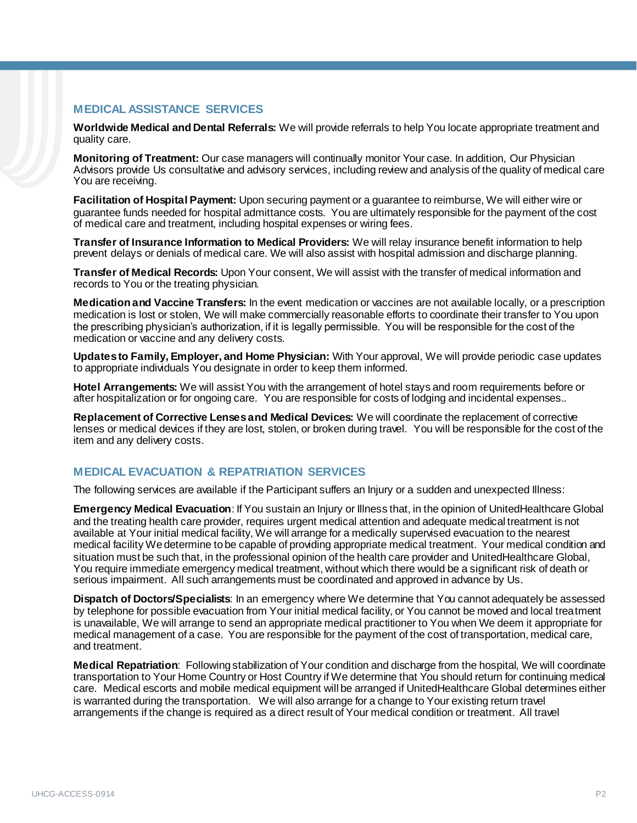## **MEDICAL ASSISTANCE SERVICES**

**Worldwide Medical and Dental Referrals:** We will provide referrals to help You locate appropriate treatment and quality care.

**Monitoring of Treatment:** Our case managers will continually monitor Your case. In addition, Our Physician Advisors provide Us consultative and advisory services, including review and analysis of the quality of medical care You are receiving.

**Facilitation of Hospital Payment:** Upon securing payment or a guarantee to reimburse, We will either wire or guarantee funds needed for hospital admittance costs. You are ultimately responsible for the payment of the cost of medical care and treatment, including hospital expenses or wiring fees.

**Transfer of Insurance Information to Medical Providers:** We will relay insurance benefit information to help prevent delays or denials of medical care. We will also assist with hospital admission and discharge planning.

**Transfer of Medical Records:** Upon Your consent, We will assist with the transfer of medical information and records to You or the treating physician.

**Medication and Vaccine Transfers:** In the event medication or vaccines are not available locally, or a prescription medication is lost or stolen, We will make commercially reasonable efforts to coordinate their transfer to You upon the prescribing physician's authorization, if it is legally permissible. You will be responsible for the cost of the medication or vaccine and any delivery costs.

**Updates to Family, Employer, and Home Physician:** With Your approval, We will provide periodic case updates to appropriate individuals You designate in order to keep them informed.

**Hotel Arrangements:** We will assist You with the arrangement of hotel stays and room requirements before or after hospitalization or for ongoing care. You are responsible for costs of lodging and incidental expenses..

**Replacement of Corrective Lenses and Medical Devices:** We will coordinate the replacement of corrective lenses or medical devices if they are lost, stolen, or broken during travel. You will be responsible for the cost of the item and any delivery costs.

### **MEDICAL EVACUATION & REPATRIATION SERVICES**

The following services are available if the Participant suffers an Injury or a sudden and unexpected Illness:

**Emergency Medical Evacuation**: If You sustain an Injury or Illness that, in the opinion of UnitedHealthcare Global and the treating health care provider, requires urgent medical attention and adequate medical treatment is not available at Your initial medical facility, We will arrange for a medically supervised evacuation to the nearest medical facility We determine to be capable of providing appropriate medical treatment. Your medical condition and situation must be such that, in the professional opinion of the health care provider and UnitedHealthcare Global, You require immediate emergency medical treatment, without which there would be a significant risk of death or serious impairment. All such arrangements must be coordinated and approved in advance by Us.

**Dispatch of Doctors/Specialists**: In an emergency where We determine that You cannot adequately be assessed by telephone for possible evacuation from Your initial medical facility, or You cannot be moved and local treatment is unavailable, We will arrange to send an appropriate medical practitioner to You when We deem it appropriate for medical management of a case. You are responsible for the payment of the cost of transportation, medical care, and treatment.

**Medical Repatriation**: Following stabilization of Your condition and discharge from the hospital, We will coordinate transportation to Your Home Country or Host Country if We determine that You should return for continuing medical care. Medical escorts and mobile medical equipment will be arranged if UnitedHealthcare Global determines either is warranted during the transportation. We will also arrange for a change to Your existing return travel arrangements if the change is required as a direct result of Your medical condition or treatment. All travel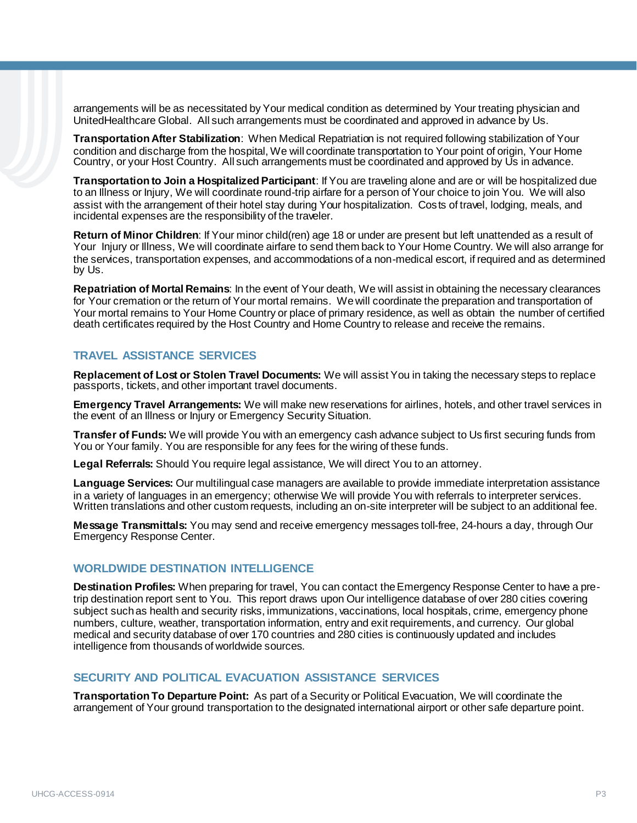arrangements will be as necessitated by Your medical condition as determined by Your treating physician and UnitedHealthcare Global. All such arrangements must be coordinated and approved in advance by Us.

**Transportation After Stabilization**: When Medical Repatriation is not required following stabilization of Your condition and discharge from the hospital, We will coordinate transportation to Your point of origin, Your Home Country, or your Host Country. All such arrangements must be coordinated and approved by Us in advance.

**Transportation to Join a Hospitalized Participant**: If You are traveling alone and are or will be hospitalized due to an Illness or Injury, We will coordinate round-trip airfare for a person of Your choice to join You. We will also assist with the arrangement of their hotel stay during Your hospitalization. Costs of travel, lodging, meals, and incidental expenses are the responsibility of the traveler.

**Return of Minor Children**: If Your minor child(ren) age 18 or under are present but left unattended as a result of Your Injury or Illness, We will coordinate airfare to send them back to Your Home Country. We will also arrange for the services, transportation expenses, and accommodations of a non-medical escort, if required and as determined by Us.

**Repatriation of Mortal Remains**: In the event of Your death, We will assist in obtaining the necessary clearances for Your cremation or the return of Your mortal remains. We will coordinate the preparation and transportation of Your mortal remains to Your Home Country or place of primary residence, as well as obtain the number of certified death certificates required by the Host Country and Home Country to release and receive the remains.

# **TRAVEL ASSISTANCE SERVICES**

**Replacement of Lost or Stolen Travel Documents:** We will assist You in taking the necessary steps to replace passports, tickets, and other important travel documents.

**Emergency Travel Arrangements:** We will make new reservations for airlines, hotels, and other travel services in the event of an Illness or Injury or Emergency Security Situation.

**Transfer of Funds:** We will provide You with an emergency cash advance subject to Us first securing funds from You or Your family. You are responsible for any fees for the wiring of these funds.

**Legal Referrals:** Should You require legal assistance, We will direct You to an attorney.

**Language Services:** Our multilingual case managers are available to provide immediate interpretation assistance in a variety of languages in an emergency; otherwise We will provide You with referrals to interpreter services. Written translations and other custom requests, including an on-site interpreter will be subject to an additional fee.

**Message Transmittals:** You may send and receive emergency messages toll-free, 24-hours a day, through Our Emergency Response Center.

### **WORLDWIDE DESTINATION INTELLIGENCE**

**Destination Profiles:** When preparing for travel, You can contact the Emergency Response Center to have a pretrip destination report sent to You. This report draws upon Our intelligence database of over 280 cities covering subject such as health and security risks, immunizations, vaccinations, local hospitals, crime, emergency phone numbers, culture, weather, transportation information, entry and exit requirements, and currency. Our global medical and security database of over 170 countries and 280 cities is continuously updated and includes intelligence from thousands of worldwide sources.

### **SECURITY AND POLITICAL EVACUATION ASSISTANCE SERVICES**

**Transportation To Departure Point:** As part of a Security or Political Evacuation, We will coordinate the arrangement of Your ground transportation to the designated international airport or other safe departure point.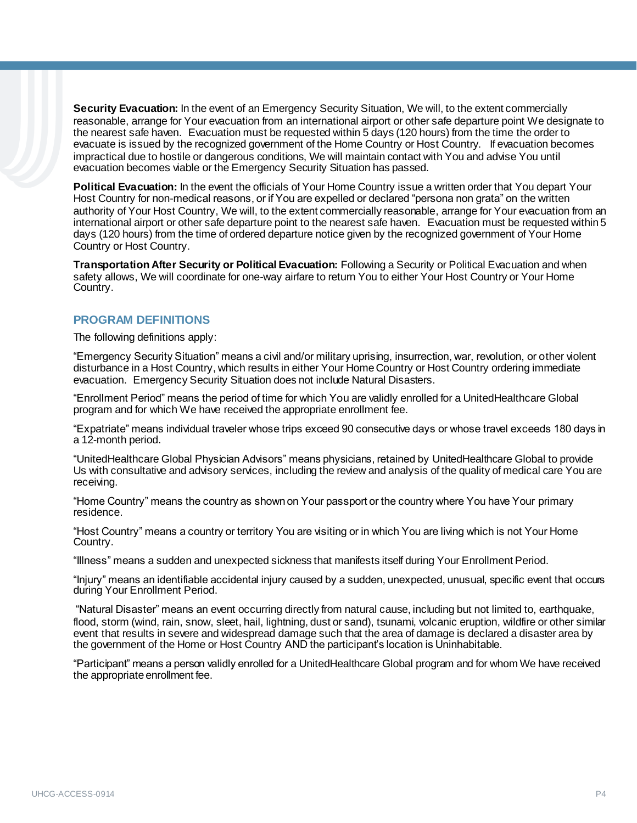**Security Evacuation:** In the event of an Emergency Security Situation, We will, to the extent commercially reasonable, arrange for Your evacuation from an international airport or other safe departure point We designate to the nearest safe haven. Evacuation must be requested within 5 days (120 hours) from the time the order to evacuate is issued by the recognized government of the Home Country or Host Country. If evacuation becomes impractical due to hostile or dangerous conditions, We will maintain contact with You and advise You until evacuation becomes viable or the Emergency Security Situation has passed.

**Political Evacuation:** In the event the officials of Your Home Country issue a written order that You depart Your Host Country for non-medical reasons, or if You are expelled or declared "persona non grata" on the written authority of Your Host Country, We will, to the extent commercially reasonable, arrange for Your evacuation from an international airport or other safe departure point to the nearest safe haven. Evacuation must be requested within 5 days (120 hours) from the time of ordered departure notice given by the recognized government of Your Home Country or Host Country.

**Transportation After Security or Political Evacuation:** Following a Security or Political Evacuation and when safety allows, We will coordinate for one-way airfare to return You to either Your Host Country or Your Home Country.

### **PROGRAM DEFINITIONS**

The following definitions apply:

"Emergency Security Situation" means a civil and/or military uprising, insurrection, war, revolution, or other violent disturbance in a Host Country, which results in either Your Home Country or Host Country ordering immediate evacuation. Emergency Security Situation does not include Natural Disasters.

"Enrollment Period" means the period of time for which You are validly enrolled for a UnitedHealthcare Global program and for which We have received the appropriate enrollment fee.

"Expatriate" means individual traveler whose trips exceed 90 consecutive days or whose travel exceeds 180 days in a 12-month period.

"UnitedHealthcare Global Physician Advisors" means physicians, retained by UnitedHealthcare Global to provide Us with consultative and advisory services, including the review and analysis of the quality of medical care You are receiving.

"Home Country" means the country as shown on Your passport or the country where You have Your primary residence.

"Host Country" means a country or territory You are visiting or in which You are living which is not Your Home Country.

"Illness" means a sudden and unexpected sickness that manifests itself during Your Enrollment Period.

"Injury" means an identifiable accidental injury caused by a sudden, unexpected, unusual, specific event that occurs during Your Enrollment Period.

"Natural Disaster" means an event occurring directly from natural cause, including but not limited to, earthquake, flood, storm (wind, rain, snow, sleet, hail, lightning, dust or sand), tsunami, volcanic eruption, wildfire or other similar event that results in severe and widespread damage such that the area of damage is declared a disaster area by the government of the Home or Host Country AND the participant's location is Uninhabitable.

"Participant" means a person validly enrolled for a UnitedHealthcare Global program and for whom We have received the appropriate enrollment fee.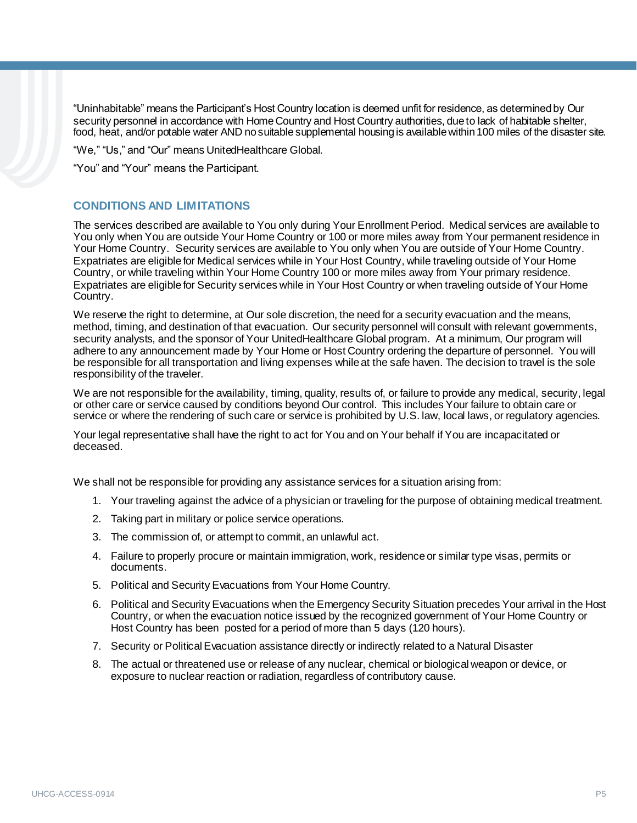"Uninhabitable" means the Participant's Host Country location is deemed unfit for residence, as determined by Our security personnel in accordance with Home Country and Host Country authorities, due to lack of habitable shelter, food, heat, and/or potable water AND no suitable supplemental housing is available within 100 miles of the disaster site.

"We," "Us," and "Our" means UnitedHealthcare Global.

"You" and "Your" means the Participant.

## **CONDITIONS AND LIMITATIONS**

The services described are available to You only during Your Enrollment Period. Medical services are available to You only when You are outside Your Home Country or 100 or more miles away from Your permanent residence in Your Home Country. Security services are available to You only when You are outside of Your Home Country. Expatriates are eligible for Medical services while in Your Host Country, while traveling outside of Your Home Country, or while traveling within Your Home Country 100 or more miles away from Your primary residence. Expatriates are eligible for Security services while in Your Host Country or when traveling outside of Your Home Country.

We reserve the right to determine, at Our sole discretion, the need for a security evacuation and the means, method, timing, and destination of that evacuation. Our security personnel will consult with relevant governments, security analysts, and the sponsor of Your UnitedHealthcare Global program. At a minimum, Our program will adhere to any announcement made by Your Home or Host Country ordering the departure of personnel. You will be responsible for all transportation and living expenses while at the safe haven. The decision to travel is the sole responsibility of the traveler.

We are not responsible for the availability, timing, quality, results of, or failure to provide any medical, security, legal or other care or service caused by conditions beyond Our control. This includes Your failure to obtain care or service or where the rendering of such care or service is prohibited by U.S. law, local laws, or regulatory agencies.

Your legal representative shall have the right to act for You and on Your behalf if You are incapacitated or deceased.

We shall not be responsible for providing any assistance services for a situation arising from:

- 1. Your traveling against the advice of a physician or traveling for the purpose of obtaining medical treatment.
- 2. Taking part in military or police service operations.
- 3. The commission of, or attempt to commit, an unlawful act.
- 4. Failure to properly procure or maintain immigration, work, residence or similar type visas, permits or documents.
- 5. Political and Security Evacuations from Your Home Country.
- 6. Political and Security Evacuations when the Emergency Security Situation precedes Your arrival in the Host Country, or when the evacuation notice issued by the recognized government of Your Home Country or Host Country has been posted for a period of more than 5 days (120 hours).
- 7. Security or Political Evacuation assistance directly or indirectly related to a Natural Disaster
- 8. The actual or threatened use or release of any nuclear, chemical or biological weapon or device, or exposure to nuclear reaction or radiation, regardless of contributory cause.